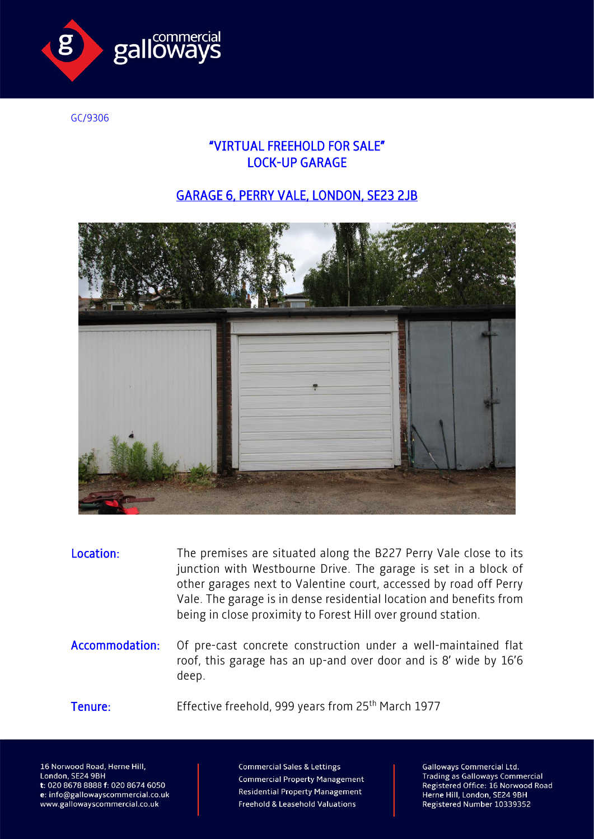

GC/9306

## "VIRTUAL FREEHOLD FOR SALE" LOCK-UP GARAGE

## GARAGE 6, PERRY VALE, LONDON, SE23 2JB



Location: The premises are situated along the B227 Perry Vale close to its junction with Westbourne Drive. The garage is set in a block of other garages next to Valentine court, accessed by road off Perry Vale. The garage is in dense residential location and benefits from being in close proximity to Forest Hill over ground station.

Accommodation: Of pre-cast concrete construction under a well-maintained flat roof, this garage has an up-and over door and is 8' wide by 16'6 deep.

Tenure: Effective freehold, 999 years from 25<sup>th</sup> March 1977

16 Norwood Road, Herne Hill, London, SE24 9BH t: 020 8678 8888 f: 020 8674 6050 e: info@gallowayscommercial.co.uk www.gallowayscommercial.co.uk

**Commercial Sales & Lettings Commercial Property Management Residential Property Management** Freehold & Leasehold Valuations

**Galloways Commercial Ltd. Trading as Galloways Commercial** Registered Office: 16 Norwood Road Herne Hill, London, SE24 9BH Registered Number 10339352